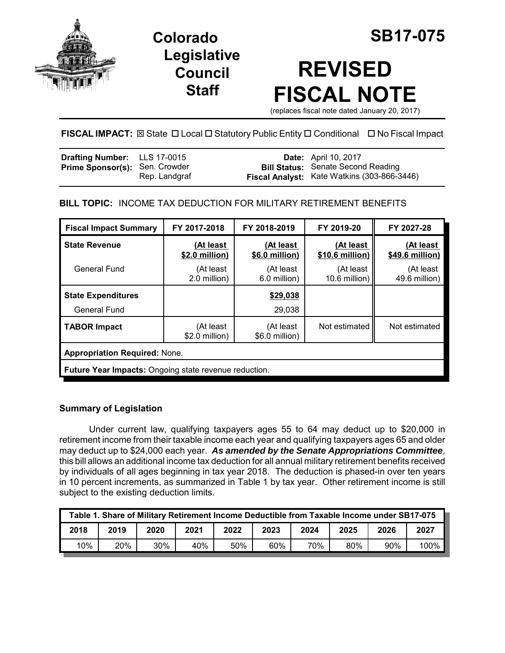

**Legislative Council Staff**

# **REVISED FISCAL NOTE**

(replaces fiscal note dated January 20, 2017)

**FISCAL IMPACT:** ⊠ State □ Local □ Statutory Public Entity □ Conditional □ No Fiscal Impact

| <b>Drafting Number:</b> LLS 17-0015   |               | <b>Date:</b> April 10, 2017                                                              |
|---------------------------------------|---------------|------------------------------------------------------------------------------------------|
| <b>Prime Sponsor(s): Sen. Crowder</b> | Rep. Landgraf | <b>Bill Status:</b> Senate Second Reading<br>Fiscal Analyst: Kate Watkins (303-866-3446) |

**BILL TOPIC:** INCOME TAX DEDUCTION FOR MILITARY RETIREMENT BENEFITS

| <b>Fiscal Impact Summary</b>                                 | FY 2017-2018                | FY 2018-2019                | FY 2019-20                   | FY 2027-28                   |  |
|--------------------------------------------------------------|-----------------------------|-----------------------------|------------------------------|------------------------------|--|
| <b>State Revenue</b>                                         | (At least<br>\$2.0 million) | (At least<br>\$6.0 million) | (At least<br>\$10.6 million) | (At least<br>\$49.6 million) |  |
| General Fund                                                 | (At least<br>2.0 million)   | (At least<br>6.0 million)   | (At least<br>10.6 million)   | (At least<br>49.6 million)   |  |
| <b>State Expenditures</b>                                    |                             | \$29,038                    |                              |                              |  |
| <b>General Fund</b>                                          |                             | 29,038                      |                              |                              |  |
| <b>TABOR Impact</b>                                          | (At least<br>\$2.0 million) | (At least<br>\$6.0 million) | Not estimated                | Not estimated                |  |
| <b>Appropriation Required: None.</b>                         |                             |                             |                              |                              |  |
| <b>Future Year Impacts:</b> Ongoing state revenue reduction. |                             |                             |                              |                              |  |

# **Summary of Legislation**

Under current law, qualifying taxpayers ages 55 to 64 may deduct up to \$20,000 in retirement income from their taxable income each year and qualifying taxpayers ages 65 and older may deduct up to \$24,000 each year. *As amended by the Senate Appropriations Committee*, this bill allows an additional income tax deduction for all annual military retirement benefits received by individuals of all ages beginning in tax year 2018. The deduction is phased-in over ten years in 10 percent increments, as summarized in Table 1 by tax year. Other retirement income is still subject to the existing deduction limits.

| Table 1. Share of Military Retirement Income Deductible from Taxable Income under SB17-075 |      |      |      |      |      |      |      |      |      |
|--------------------------------------------------------------------------------------------|------|------|------|------|------|------|------|------|------|
| 2018                                                                                       | 2019 | 2020 | 2021 | 2022 | 2023 | 2024 | 2025 | 2026 | 2027 |
| 10%                                                                                        | 20%  | 30%  | 40%  | 50%  | 60%  | 70%  | 80%  | 90%  | 100% |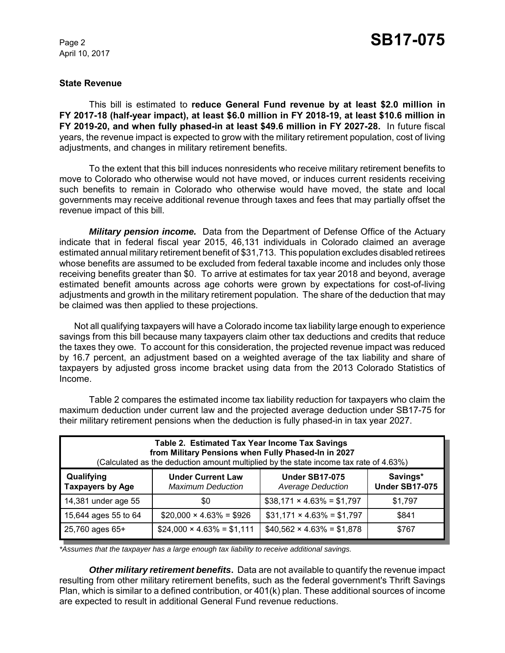April 10, 2017

#### **State Revenue**

This bill is estimated to **reduce General Fund revenue by at least \$2.0 million in FY 2017-18 (half-year impact), at least \$6.0 million in FY 2018-19, at least \$10.6 million in FY 2019-20, and when fully phased-in at least \$49.6 million in FY 2027-28.** In future fiscal years, the revenue impact is expected to grow with the military retirement population, cost of living adjustments, and changes in military retirement benefits.

To the extent that this bill induces nonresidents who receive military retirement benefits to move to Colorado who otherwise would not have moved, or induces current residents receiving such benefits to remain in Colorado who otherwise would have moved, the state and local governments may receive additional revenue through taxes and fees that may partially offset the revenue impact of this bill.

*Military pension income.* Data from the Department of Defense Office of the Actuary indicate that in federal fiscal year 2015, 46,131 individuals in Colorado claimed an average estimated annual military retirement benefit of \$31,713. This population excludes disabled retirees whose benefits are assumed to be excluded from federal taxable income and includes only those receiving benefits greater than \$0. To arrive at estimates for tax year 2018 and beyond, average estimated benefit amounts across age cohorts were grown by expectations for cost-of-living adjustments and growth in the military retirement population. The share of the deduction that may be claimed was then applied to these projections.

Not all qualifying taxpayers will have a Colorado income tax liability large enough to experience savings from this bill because many taxpayers claim other tax deductions and credits that reduce the taxes they owe. To account for this consideration, the projected revenue impact was reduced by 16.7 percent, an adjustment based on a weighted average of the tax liability and share of taxpayers by adjusted gross income bracket using data from the 2013 Colorado Statistics of Income.

Table 2 compares the estimated income tax liability reduction for taxpayers who claim the maximum deduction under current law and the projected average deduction under SB17-75 for their military retirement pensions when the deduction is fully phased-in in tax year 2027.

| Table 2. Estimated Tax Year Income Tax Savings<br>from Military Pensions when Fully Phased-In in 2027<br>(Calculated as the deduction amount multiplied by the state income tax rate of 4.63%) |                                                      |                                                   |                                   |  |  |
|------------------------------------------------------------------------------------------------------------------------------------------------------------------------------------------------|------------------------------------------------------|---------------------------------------------------|-----------------------------------|--|--|
| Qualifying<br><b>Taxpayers by Age</b>                                                                                                                                                          | <b>Under Current Law</b><br><b>Maximum Deduction</b> | <b>Under SB17-075</b><br><b>Average Deduction</b> | Savings*<br><b>Under SB17-075</b> |  |  |
| 14,381 under age 55                                                                                                                                                                            | \$0                                                  | $$38,171 \times 4.63\% = $1,797$                  | \$1.797                           |  |  |
| 15,644 ages 55 to 64                                                                                                                                                                           | $$20,000 \times 4.63\% = $926$                       | $$31,171 \times 4.63\% = $1,797$                  | \$841                             |  |  |
| 25,760 ages 65+                                                                                                                                                                                | $$24,000 \times 4.63\% = $1,111$                     | $$40,562 \times 4.63\% = $1,878$                  | \$767                             |  |  |

*\*Assumes that the taxpayer has a large enough tax liability to receive additional savings.*

*Other military retirement benefits***.** Data are not available to quantify the revenue impact resulting from other military retirement benefits, such as the federal government's Thrift Savings Plan, which is similar to a defined contribution, or 401(k) plan. These additional sources of income are expected to result in additional General Fund revenue reductions.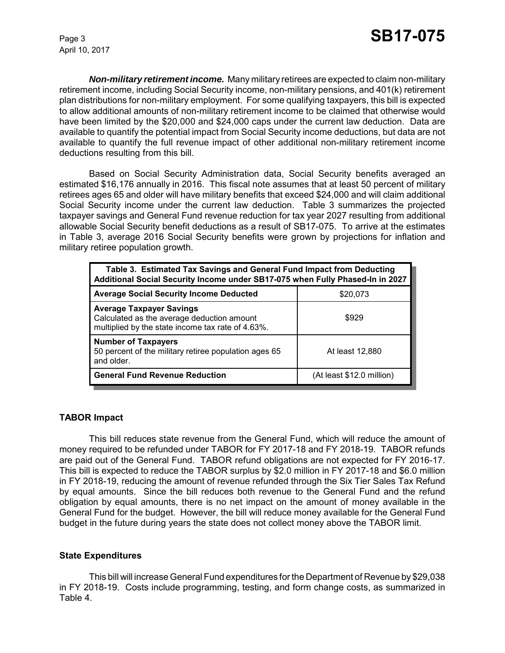April 10, 2017

*Non-military retirement income.* Many military retirees are expected to claim non-military retirement income, including Social Security income, non-military pensions, and 401(k) retirement plan distributions for non-military employment. For some qualifying taxpayers, this bill is expected to allow additional amounts of non-military retirement income to be claimed that otherwise would have been limited by the \$20,000 and \$24,000 caps under the current law deduction. Data are available to quantify the potential impact from Social Security income deductions, but data are not available to quantify the full revenue impact of other additional non-military retirement income deductions resulting from this bill.

Based on Social Security Administration data, Social Security benefits averaged an estimated \$16,176 annually in 2016. This fiscal note assumes that at least 50 percent of military retirees ages 65 and older will have military benefits that exceed \$24,000 and will claim additional Social Security income under the current law deduction. Table 3 summarizes the projected taxpayer savings and General Fund revenue reduction for tax year 2027 resulting from additional allowable Social Security benefit deductions as a result of SB17-075. To arrive at the estimates in Table 3, average 2016 Social Security benefits were grown by projections for inflation and military retiree population growth.

| Table 3. Estimated Tax Savings and General Fund Impact from Deducting<br>Additional Social Security Income under SB17-075 when Fully Phased-In in 2027 |                           |  |  |  |
|--------------------------------------------------------------------------------------------------------------------------------------------------------|---------------------------|--|--|--|
| <b>Average Social Security Income Deducted</b>                                                                                                         | \$20,073                  |  |  |  |
| <b>Average Taxpayer Savings</b><br>Calculated as the average deduction amount<br>multiplied by the state income tax rate of 4.63%.                     | \$929                     |  |  |  |
| <b>Number of Taxpayers</b><br>50 percent of the military retiree population ages 65<br>and older.                                                      | At least 12,880           |  |  |  |
| <b>General Fund Revenue Reduction</b>                                                                                                                  | (At least \$12.0 million) |  |  |  |

## **TABOR Impact**

This bill reduces state revenue from the General Fund, which will reduce the amount of money required to be refunded under TABOR for FY 2017-18 and FY 2018-19. TABOR refunds are paid out of the General Fund. TABOR refund obligations are not expected for FY 2016-17. This bill is expected to reduce the TABOR surplus by \$2.0 million in FY 2017-18 and \$6.0 million in FY 2018-19, reducing the amount of revenue refunded through the Six Tier Sales Tax Refund by equal amounts. Since the bill reduces both revenue to the General Fund and the refund obligation by equal amounts, there is no net impact on the amount of money available in the General Fund for the budget. However, the bill will reduce money available for the General Fund budget in the future during years the state does not collect money above the TABOR limit.

#### **State Expenditures**

This bill will increase General Fund expenditures for the Department of Revenue by \$29,038 in FY 2018-19. Costs include programming, testing, and form change costs, as summarized in Table 4.